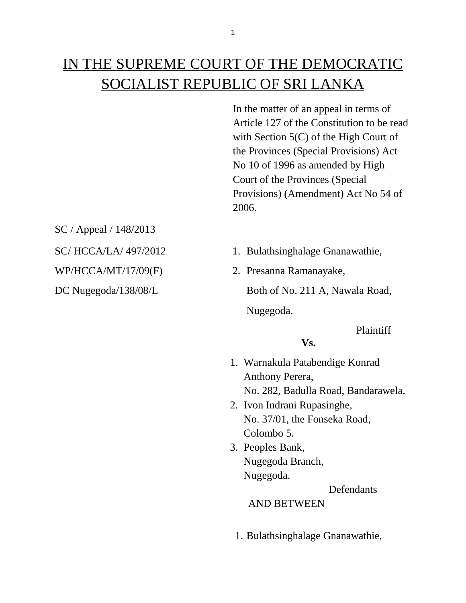# IN THE SUPREME COURT OF THE DEMOCRATIC SOCIALIST REPUBLIC OF SRI LANKA

In the matter of an appeal in terms of Article 127 of the Constitution to be read with Section 5(C) of the High Court of the Provinces (Special Provisions) Act No 10 of 1996 as amended by High Court of the Provinces (Special Provisions) (Amendment) Act No 54 of 2006.

SC / Appeal / 148/2013

- SC/ HCCA/LA/ 497/2012 1. Bulathsinghalage Gnanawathie,
- WP/HCCA/MT/17/09(F) 2. Presanna Ramanayake,

DC Nugegoda/138/08/L Both of No. 211 A, Nawala Road,

Nugegoda.

Plaintiff

# **Vs.**

- 1. Warnakula Patabendige Konrad Anthony Perera, No. 282, Badulla Road, Bandarawela.
- 2. Ivon Indrani Rupasinghe, No. 37/01, the Fonseka Road, Colombo 5.
- 3. Peoples Bank, Nugegoda Branch, Nugegoda.

**Defendants** 

AND BETWEEN

1. Bulathsinghalage Gnanawathie,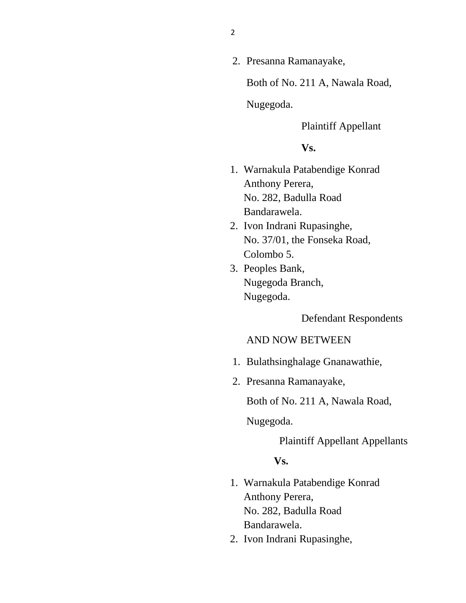2. Presanna Ramanayake,

Both of No. 211 A, Nawala Road,

Nugegoda.

Plaintiff Appellant

## **Vs.**

- 1. Warnakula Patabendige Konrad Anthony Perera, No. 282, Badulla Road Bandarawela.
- 2. Ivon Indrani Rupasinghe, No. 37/01, the Fonseka Road, Colombo 5.
- 3. Peoples Bank, Nugegoda Branch, Nugegoda.

Defendant Respondents

## AND NOW BETWEEN

- 1. Bulathsinghalage Gnanawathie,
- 2. Presanna Ramanayake,

Both of No. 211 A, Nawala Road,

Nugegoda.

Plaintiff Appellant Appellants

### **Vs.**

- 1. Warnakula Patabendige Konrad Anthony Perera, No. 282, Badulla Road Bandarawela.
- 2. Ivon Indrani Rupasinghe,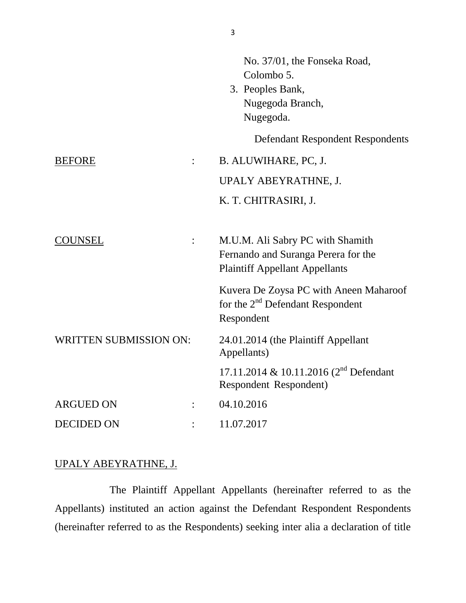|                               |                | No. 37/01, the Fonseka Road,<br>Colombo 5.<br>3. Peoples Bank,<br>Nugegoda Branch,<br>Nugegoda.                  |
|-------------------------------|----------------|------------------------------------------------------------------------------------------------------------------|
|                               |                | Defendant Respondent Respondents                                                                                 |
| <b>BEFORE</b>                 |                | B. ALUWIHARE, PC, J.                                                                                             |
|                               |                | UPALY ABEYRATHNE, J.                                                                                             |
|                               |                | K. T. CHITRASIRI, J.                                                                                             |
| COUNSEL                       | $\ddot{\cdot}$ | M.U.M. Ali Sabry PC with Shamith<br>Fernando and Suranga Perera for the<br><b>Plaintiff Appellant Appellants</b> |
|                               |                | Kuvera De Zoysa PC with Aneen Maharoof<br>for the 2 <sup>nd</sup> Defendant Respondent<br>Respondent             |
| <b>WRITTEN SUBMISSION ON:</b> |                | 24.01.2014 (the Plaintiff Appellant<br>Appellants)                                                               |
|                               |                | 17.11.2014 & 10.11.2016 (2 <sup>nd</sup> Defendant<br>Respondent Respondent)                                     |
| <b>ARGUED ON</b>              |                | 04.10.2016                                                                                                       |
| <b>DECIDED ON</b>             |                | 11.07.2017                                                                                                       |

# UPALY ABEYRATHNE, J.

The Plaintiff Appellant Appellants (hereinafter referred to as the Appellants) instituted an action against the Defendant Respondent Respondents (hereinafter referred to as the Respondents) seeking inter alia a declaration of title

3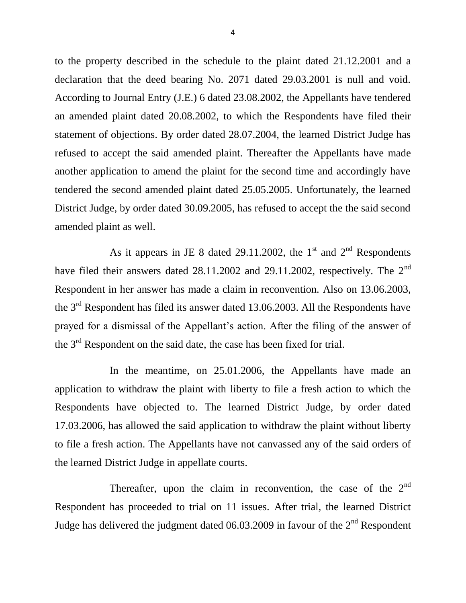to the property described in the schedule to the plaint dated 21.12.2001 and a declaration that the deed bearing No. 2071 dated 29.03.2001 is null and void. According to Journal Entry (J.E.) 6 dated 23.08.2002, the Appellants have tendered an amended plaint dated 20.08.2002, to which the Respondents have filed their statement of objections. By order dated 28.07.2004, the learned District Judge has refused to accept the said amended plaint. Thereafter the Appellants have made another application to amend the plaint for the second time and accordingly have tendered the second amended plaint dated 25.05.2005. Unfortunately, the learned District Judge, by order dated 30.09.2005, has refused to accept the the said second amended plaint as well.

As it appears in JE 8 dated 29.11.2002, the 1<sup>st</sup> and  $2<sup>nd</sup>$  Respondents have filed their answers dated 28.11.2002 and 29.11.2002, respectively. The 2<sup>nd</sup> Respondent in her answer has made a claim in reconvention. Also on 13.06.2003, the 3<sup>rd</sup> Respondent has filed its answer dated 13.06.2003. All the Respondents have prayed for a dismissal of the Appellant's action. After the filing of the answer of the  $3<sup>rd</sup>$  Respondent on the said date, the case has been fixed for trial.

In the meantime, on 25.01.2006, the Appellants have made an application to withdraw the plaint with liberty to file a fresh action to which the Respondents have objected to. The learned District Judge, by order dated 17.03.2006, has allowed the said application to withdraw the plaint without liberty to file a fresh action. The Appellants have not canvassed any of the said orders of the learned District Judge in appellate courts.

Thereafter, upon the claim in reconvention, the case of the  $2<sup>nd</sup>$ Respondent has proceeded to trial on 11 issues. After trial, the learned District Judge has delivered the judgment dated  $06.03.2009$  in favour of the  $2<sup>nd</sup>$  Respondent

4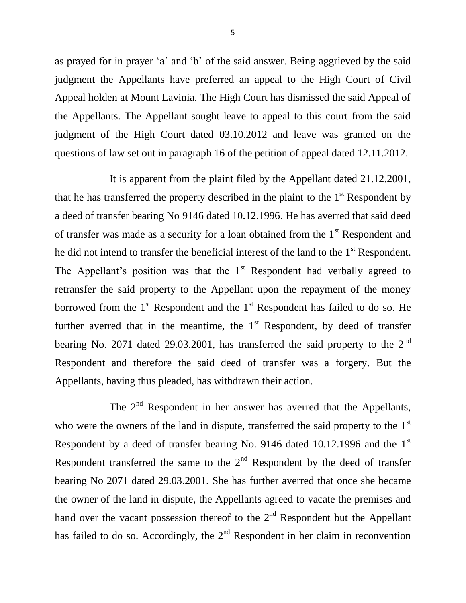as prayed for in prayer 'a' and 'b' of the said answer. Being aggrieved by the said judgment the Appellants have preferred an appeal to the High Court of Civil Appeal holden at Mount Lavinia. The High Court has dismissed the said Appeal of the Appellants. The Appellant sought leave to appeal to this court from the said judgment of the High Court dated 03.10.2012 and leave was granted on the questions of law set out in paragraph 16 of the petition of appeal dated 12.11.2012.

It is apparent from the plaint filed by the Appellant dated 21.12.2001, that he has transferred the property described in the plaint to the  $1<sup>st</sup>$  Respondent by a deed of transfer bearing No 9146 dated 10.12.1996. He has averred that said deed of transfer was made as a security for a loan obtained from the  $1<sup>st</sup>$  Respondent and he did not intend to transfer the beneficial interest of the land to the  $1<sup>st</sup>$  Respondent. The Appellant's position was that the  $1<sup>st</sup>$  Respondent had verbally agreed to retransfer the said property to the Appellant upon the repayment of the money borrowed from the  $1<sup>st</sup>$  Respondent and the  $1<sup>st</sup>$  Respondent has failed to do so. He further averred that in the meantime, the  $1<sup>st</sup>$  Respondent, by deed of transfer bearing No. 2071 dated 29.03.2001, has transferred the said property to the  $2<sup>nd</sup>$ Respondent and therefore the said deed of transfer was a forgery. But the Appellants, having thus pleaded, has withdrawn their action.

The  $2<sup>nd</sup>$  Respondent in her answer has averred that the Appellants, who were the owners of the land in dispute, transferred the said property to the 1<sup>st</sup> Respondent by a deed of transfer bearing No. 9146 dated 10.12.1996 and the  $1<sup>st</sup>$ Respondent transferred the same to the  $2<sup>nd</sup>$  Respondent by the deed of transfer bearing No 2071 dated 29.03.2001. She has further averred that once she became the owner of the land in dispute, the Appellants agreed to vacate the premises and hand over the vacant possession thereof to the  $2<sup>nd</sup>$  Respondent but the Appellant has failed to do so. Accordingly, the  $2<sup>nd</sup>$  Respondent in her claim in reconvention